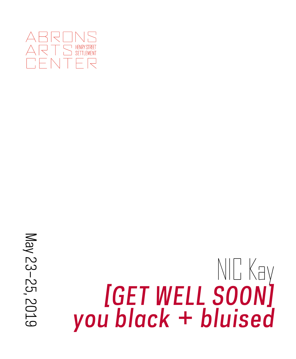

# VOU BLET WELL SOON)

May 23-25, 2019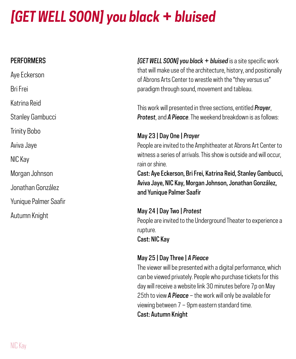#### **PERFORMERS**

Aye Eckerson Bri Frei Katrina Reid Stanley Gambucci Trinity Bobo Aviva Jaye NIC Kay Morgan Johnson Jonathan González Yunique Palmer Saafir Autumn Knight

*[GET WELL SOON] you black + bluised* is a site specific work that will make use of the architecture, history, and positionally of Abrons Arts Center to wrestle with the "they versus us" paradigm through sound, movement and tableau.

This work will presented in three sections, entitled *Prayer*, *Protest*, and *A Pieace*. The weekend breakdown is as follows:

#### May 23 | Day One | *Prayer*

People are invited to the Amphitheater at Abrons Art Center to witness a series of arrivals. This show is outside and will occur, rain or shine.

Cast: Aye Eckerson, Bri Frei, Katrina Reid, Stanley Gambucci, Aviva Jaye, NIC Kay, Morgan Johnson, Jonathan González, and Yunique Palmer Saafir

May 24 | Day Two | *Protest* People are invited to the Underground Theater to experience a rupture. Cast: NIC Kay

#### May 25 | Day Three | *A Pieace*

The viewer will be presented with a digital performance, which can be viewed privately. People who purchase tickets for this day will receive a website link 30 minutes before 7p on May 25th to view *A Pieace* – the work will only be available for viewing between 7 – 9pm eastern standard time. Cast: Autumn Knight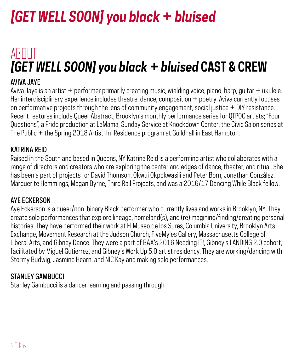## ABOUT *[GET WELL SOON] you black + bluised* **CAST & CREW**

#### AVIVA JAYE

Aviva Jaye is an artist + performer primarily creating music, wielding voice, piano, harp, guitar + ukulele. Her interdisciplinary experience includes theatre, dance, composition + poetry. Aviva currently focuses on performative projects through the lens of community engagement, social justice + DIY resistance. Recent features include Queer Abstract, Brooklyn's monthly performance series for QTPOC artists; "Four Questions", a Pride production at LaMama; Sunday Service at Knockdown Center; the Civic Salon series at The Public + the Spring 2018 Artist-In-Residence program at Guildhall in East Hampton.

#### KATRINA REID

Raised in the South and based in Queens, NY Katrina Reid is a performing artist who collaborates with a range of directors and creators who are exploring the center and edges of dance, theater, and ritual. She has been a part of projects for David Thomson, Okwui Okpokwasili and Peter Born, Jonathan González, Marguerite Hemmings, Megan Byrne, Third Rail Projects, and was a 2016/17 Dancing While Black fellow.

#### AYE ECKERSON

Aye Eckerson is a queer/non-binary Black performer who currently lives and works in Brooklyn, NY. They create solo performances that explore lineage, homeland(s), and (re)imagining/finding/creating personal histories. They have performed their work at El Museo de los Sures, Columbia University, Brooklyn Arts Exchange, Movement Research at the Judson Church, FiveMyles Gallery, Massachusetts College of Liberal Arts, and Gibney Dance. They were a part of BAX's 2016 Needing IT!, Gibney's LANDING 2.0 cohort, facilitated by Miguel Gutierrez, and Gibney's Work Up 5.0 artist residency. They are working/dancing with Stormy Budwig, Jasmine Hearn, and NIC Kay and making solo performances.

#### STANLEY GAMBLICCL

Stanley Gambucci is a dancer learning and passing through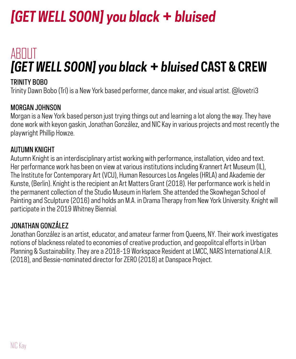## ARNIT *[GET WELL SOON] you black + bluised* **CAST & CREW**

#### TRINITY BOBO

Trinity Dawn Bobo (Trí) is a New York based performer, dance maker, and visual artist. @lovetri3

#### MORGAN JOHNSON

Morgan is a New York based person just trying things out and learning a lot along the way. They have done work with keyon gaskin, Jonathan González, and NIC Kay in various projects and most recently the playwright Phillip Howze.

#### AUTUMN KNIGHT

Autumn Knight is an interdisciplinary artist working with performance, installation, video and text. Her performance work has been on view at various institutions including Krannert Art Museum (IL), The Institute for Contemporary Art (VCU), Human Resources Los Angeles (HRLA) and Akademie der Kunste, (Berlin). Knight is the recipient an Art Matters Grant (2018). Her performance work is held in the permanent collection of the Studio Museum in Harlem. She attended the Skowhegan School of Painting and Sculpture (2016) and holds an M.A. in Drama Therapy from New York University. Knight will participate in the 2019 Whitney Biennial.

#### JONATHAN GONZÁLEZ

Jonathan González is an artist, educator, and amateur farmer from Queens, NY. Their work investigates notions of blackness related to economies of creative production, and geopolitcal efforts in Urban Planning & Sustainability. They are a 2018-19 Workspace Resident at LMCC, NARS International A.I.R. (2018), and Bessie-nominated director for ZERO (2018) at Danspace Project.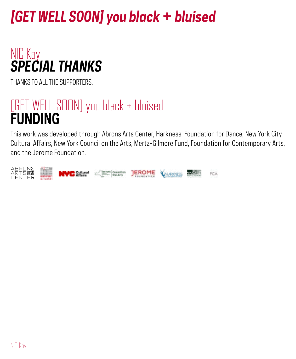## NIC Kay *SPECIAL THANKS*

THANKS TO ALL THE SUPPORTERS.

## [GET WELL SOON] you black + bluised **FUNDING**

This work was developed through Abrons Arts Center, Harkness Foundation for Dance, New York City Cultural Affairs, New York Council on the Arts, Mertz-Gilmore Fund, Foundation for Contemporary Arts, and the Jerome Foundation.